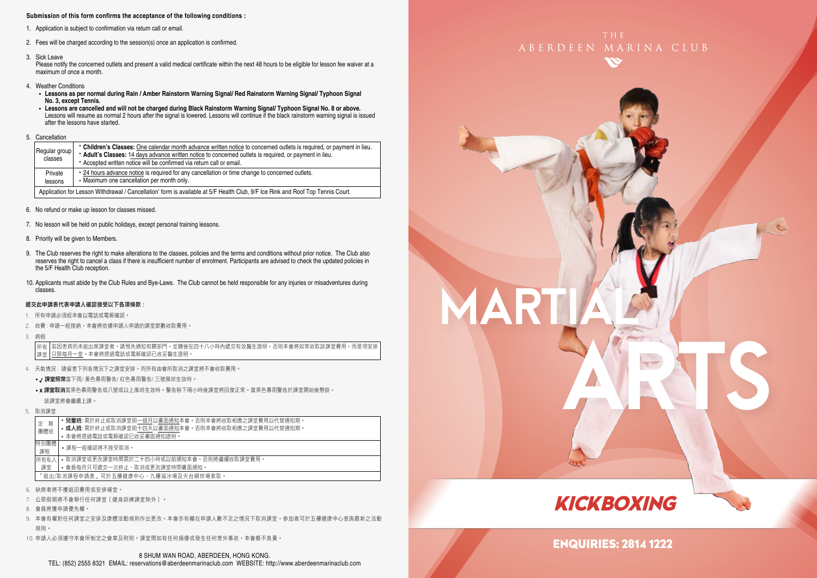### **Submission of this form confirms the acceptance of the following conditions :**

- 1. Application is subject to confirmation via return call or email.
- 2. Fees will be charged according to the session(s) once an application is confirmed.
- 3. Sick Leave

Please notify the concerned outlets and present a valid medical certificate within the next 48 hours to be eligible for lesson fee waiver at a maximum of once a month.

- 4. Weather Conditions
	- **Lessons as per normal during Rain / Amber Rainstorm Warning Signal/ Red Rainstorm Warning Signal/ Typhoon Signal No. 3, except Tennis.**
	- **Lessons are cancelled and will not be charged during Black Rainstorm Warning Signal/ Typhoon Signal No. 8 or above.** Lessons will resume as normal 2 hours after the signal is lowered. Lessons will continue if the black rainstorm warning signal is issued after the lessons have started.
- 5. Cancellation

| Regular group<br>classes                                                                                                        | • Children's Classes: One calendar month advance written notice to concerned outlets is required, or payment in lieu.<br>* Adult's Classes: 14 days advance written notice to concerned outlets is required, or payment in lieu.<br>* Accepted written notice will be confirmed via return call or email. |  |  |  |
|---------------------------------------------------------------------------------------------------------------------------------|-----------------------------------------------------------------------------------------------------------------------------------------------------------------------------------------------------------------------------------------------------------------------------------------------------------|--|--|--|
| Private<br>lessons                                                                                                              | . 24 hours advance notice is required for any cancellation or time change to concerned outlets.<br>• Maximum one cancellation per month only.                                                                                                                                                             |  |  |  |
| Application for Lesson Withdrawal / Cancellation' form is available at 5/F Health Club, 9/F Ice Rink and Roof Top Tennis Court. |                                                                                                                                                                                                                                                                                                           |  |  |  |

- 6. No refund or make up lesson for classes missed.
- 7. No lesson will be held on public holidays, except personal training lessons.
- 8. Priority will be given to Members.
- 9. The Club reserves the right to make alterations to the classes, policies and the terms and conditions without prior notice. The Club also reserves the right to cancel a class if there is insufficient number of enrolment. Participants are advised to check the updated policies in the 5/F Health Club reception.
- 10. Applicants must abide by the Club Rules and Bye-Laws. The Club cannot be held responsible for any injuries or misadventures during classes.

### 遞交此申請表代表申請人確認接受以下各項條款 :

- 1. 所有申請必須經本會以電話或電郵確認。
- 2. 收費 : 申請一經接納,本會將依據申請人申請的課堂節數收取費用。
- 3. 病假

若因患病而未能出席課堂者,請預先通知有關部門,並隨後在四十八小時內遞交有效醫生證明,否則本會將如常收取該課堂費用,而是項安排 只限每月一堂。本會將透過電話或電郵確認已收妥醫生證明。 所有 課堂

- 4. 天氣情況 : 請留意下列各情況下之課堂安排,而所有由會所取消之課堂將不會收取費用。
	- / 課堂照常當下雨/ 黃色暴雨警告/ 紅色暴雨警告/ 三號風球生效時。
	- x 課堂取消當黑色暴雨警告或八號或以上風球生效時。警告除下兩小時後課堂將回復正常。當黑色暴雨警告於課堂開始後懸掛, 該課堂將會繼續上課。
- 5. 取消課堂

| 期          | <b>兒童班:</b> 需於終止或取消課堂前一個月以書面通知本會。否則本會將收取相應之課堂費用以代替通知期。 |
|------------|--------------------------------------------------------|
| 定          | • 成人班: 需於終止或取消課堂前十四天以書面通知本會。否則本會將收取相應之課堂費用以代替通知期。      |
| 團體班        | • 本會將透過電話或電郵確認已收妥書面通知證明。                               |
| 特別團體<br>課程 | •課程一經確認將不接受取消。                                         |
| 所有私人       | • 取消課堂或更改課堂時間需於二十四小時或以前捅知本會,否則將繼續收取課堂費用。               |
| 課堂         | • 會員每月只可褫交一次終止、取消或更改課堂時間書面通知。                          |
|            | 「狠出/取消課程申請表,可於五樓健康中心、九樓溜冰場及天台網球場索取。                    |

- 6. 缺席者將不獲退回費用或安排補堂。
- 7. 公眾假期將不會舉行任何課堂﹝健身訓練課堂除外﹞。
- 8. 會員將獲申請優先權。
- 9. 本會有權對任何課堂之安排及康體活動規則作出更改。本會亦有權在申請人數不足之情況下取消課堂。參加者可於五樓健康中心查詢最新之活動 規則。
- 10. 申請人必須遵守本會所制定之會章及附則。課堂間如有任何損傷或發生任何意外事故,本會概不負責。





MART

ARTS

ENQUIRIES: 2814 1222